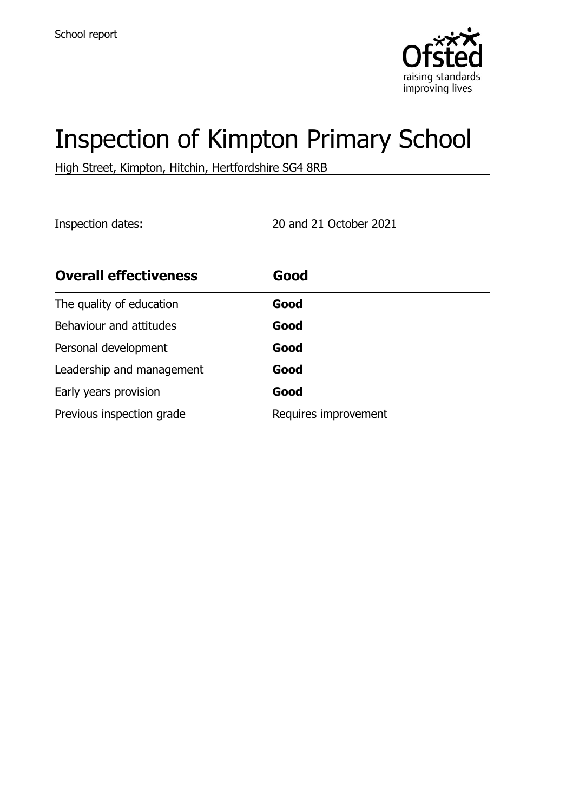

# Inspection of Kimpton Primary School

High Street, Kimpton, Hitchin, Hertfordshire SG4 8RB

Inspection dates: 20 and 21 October 2021

| <b>Overall effectiveness</b> | Good                 |
|------------------------------|----------------------|
| The quality of education     | Good                 |
| Behaviour and attitudes      | Good                 |
| Personal development         | Good                 |
| Leadership and management    | Good                 |
| Early years provision        | Good                 |
| Previous inspection grade    | Requires improvement |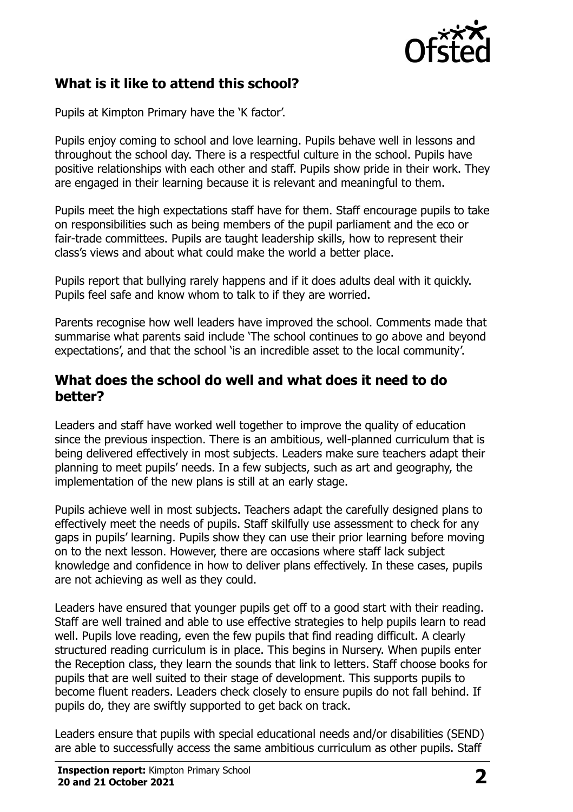

## **What is it like to attend this school?**

Pupils at Kimpton Primary have the 'K factor'.

Pupils enjoy coming to school and love learning. Pupils behave well in lessons and throughout the school day. There is a respectful culture in the school. Pupils have positive relationships with each other and staff. Pupils show pride in their work. They are engaged in their learning because it is relevant and meaningful to them.

Pupils meet the high expectations staff have for them. Staff encourage pupils to take on responsibilities such as being members of the pupil parliament and the eco or fair-trade committees. Pupils are taught leadership skills, how to represent their class's views and about what could make the world a better place.

Pupils report that bullying rarely happens and if it does adults deal with it quickly. Pupils feel safe and know whom to talk to if they are worried.

Parents recognise how well leaders have improved the school. Comments made that summarise what parents said include 'The school continues to go above and beyond expectations', and that the school 'is an incredible asset to the local community'.

#### **What does the school do well and what does it need to do better?**

Leaders and staff have worked well together to improve the quality of education since the previous inspection. There is an ambitious, well-planned curriculum that is being delivered effectively in most subjects. Leaders make sure teachers adapt their planning to meet pupils' needs. In a few subjects, such as art and geography, the implementation of the new plans is still at an early stage.

Pupils achieve well in most subjects. Teachers adapt the carefully designed plans to effectively meet the needs of pupils. Staff skilfully use assessment to check for any gaps in pupils' learning. Pupils show they can use their prior learning before moving on to the next lesson. However, there are occasions where staff lack subject knowledge and confidence in how to deliver plans effectively. In these cases, pupils are not achieving as well as they could.

Leaders have ensured that younger pupils get off to a good start with their reading. Staff are well trained and able to use effective strategies to help pupils learn to read well. Pupils love reading, even the few pupils that find reading difficult. A clearly structured reading curriculum is in place. This begins in Nursery. When pupils enter the Reception class, they learn the sounds that link to letters. Staff choose books for pupils that are well suited to their stage of development. This supports pupils to become fluent readers. Leaders check closely to ensure pupils do not fall behind. If pupils do, they are swiftly supported to get back on track.

Leaders ensure that pupils with special educational needs and/or disabilities (SEND) are able to successfully access the same ambitious curriculum as other pupils. Staff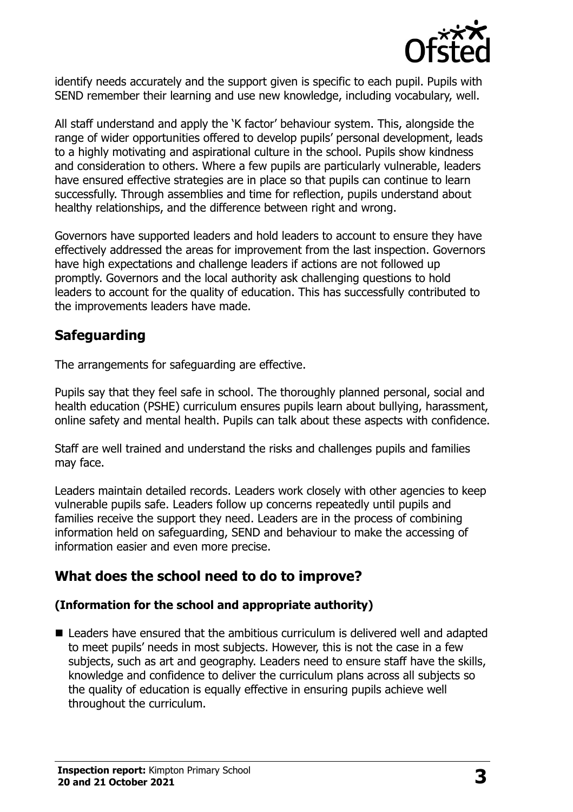

identify needs accurately and the support given is specific to each pupil. Pupils with SEND remember their learning and use new knowledge, including vocabulary, well.

All staff understand and apply the 'K factor' behaviour system. This, alongside the range of wider opportunities offered to develop pupils' personal development, leads to a highly motivating and aspirational culture in the school. Pupils show kindness and consideration to others. Where a few pupils are particularly vulnerable, leaders have ensured effective strategies are in place so that pupils can continue to learn successfully. Through assemblies and time for reflection, pupils understand about healthy relationships, and the difference between right and wrong.

Governors have supported leaders and hold leaders to account to ensure they have effectively addressed the areas for improvement from the last inspection. Governors have high expectations and challenge leaders if actions are not followed up promptly. Governors and the local authority ask challenging questions to hold leaders to account for the quality of education. This has successfully contributed to the improvements leaders have made.

## **Safeguarding**

The arrangements for safeguarding are effective.

Pupils say that they feel safe in school. The thoroughly planned personal, social and health education (PSHE) curriculum ensures pupils learn about bullying, harassment, online safety and mental health. Pupils can talk about these aspects with confidence.

Staff are well trained and understand the risks and challenges pupils and families may face.

Leaders maintain detailed records. Leaders work closely with other agencies to keep vulnerable pupils safe. Leaders follow up concerns repeatedly until pupils and families receive the support they need. Leaders are in the process of combining information held on safeguarding, SEND and behaviour to make the accessing of information easier and even more precise.

## **What does the school need to do to improve?**

#### **(Information for the school and appropriate authority)**

 Leaders have ensured that the ambitious curriculum is delivered well and adapted to meet pupils' needs in most subjects. However, this is not the case in a few subjects, such as art and geography. Leaders need to ensure staff have the skills, knowledge and confidence to deliver the curriculum plans across all subjects so the quality of education is equally effective in ensuring pupils achieve well throughout the curriculum.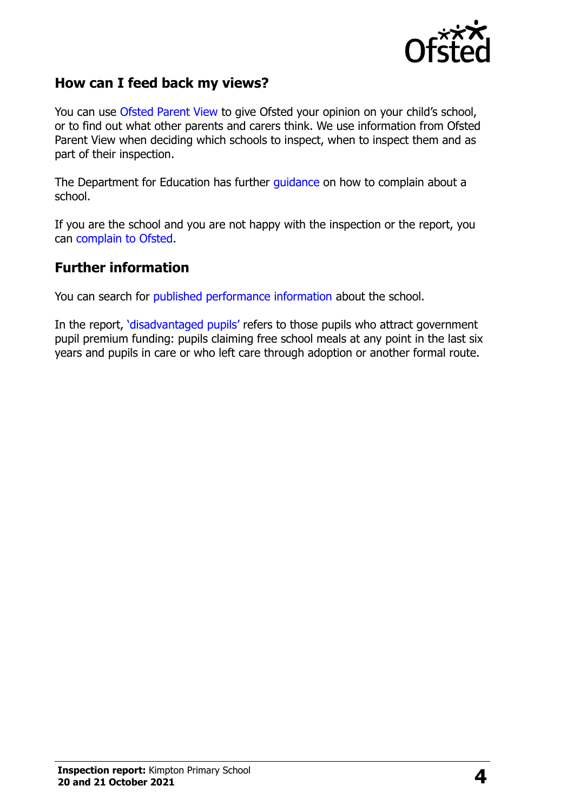

### **How can I feed back my views?**

You can use [Ofsted Parent View](http://parentview.ofsted.gov.uk/) to give Ofsted your opinion on your child's school, or to find out what other parents and carers think. We use information from Ofsted Parent View when deciding which schools to inspect, when to inspect them and as part of their inspection.

The Department for Education has further [guidance](http://www.gov.uk/complain-about-school) on how to complain about a school.

If you are the school and you are not happy with the inspection or the report, you can [complain to Ofsted.](http://www.gov.uk/complain-ofsted-report)

#### **Further information**

You can search for [published performance information](http://www.compare-school-performance.service.gov.uk/) about the school.

In the report, '[disadvantaged pupils](http://www.gov.uk/guidance/pupil-premium-information-for-schools-and-alternative-provision-settings)' refers to those pupils who attract government pupil premium funding: pupils claiming free school meals at any point in the last six years and pupils in care or who left care through adoption or another formal route.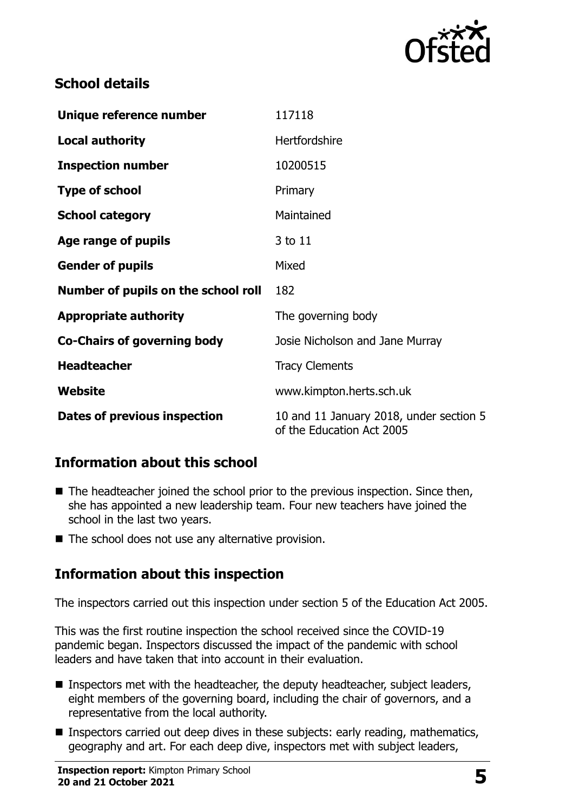

## **School details**

| Unique reference number             | 117118                                                               |
|-------------------------------------|----------------------------------------------------------------------|
| <b>Local authority</b>              | Hertfordshire                                                        |
| <b>Inspection number</b>            | 10200515                                                             |
| <b>Type of school</b>               | Primary                                                              |
| <b>School category</b>              | Maintained                                                           |
| Age range of pupils                 | 3 to 11                                                              |
| <b>Gender of pupils</b>             | Mixed                                                                |
| Number of pupils on the school roll | 182                                                                  |
| <b>Appropriate authority</b>        | The governing body                                                   |
| <b>Co-Chairs of governing body</b>  | Josie Nicholson and Jane Murray                                      |
| <b>Headteacher</b>                  | <b>Tracy Clements</b>                                                |
| Website                             | www.kimpton.herts.sch.uk                                             |
| Dates of previous inspection        | 10 and 11 January 2018, under section 5<br>of the Education Act 2005 |

## **Information about this school**

- $\blacksquare$  The headteacher joined the school prior to the previous inspection. Since then, she has appointed a new leadership team. Four new teachers have joined the school in the last two years.
- $\blacksquare$  The school does not use any alternative provision.

## **Information about this inspection**

The inspectors carried out this inspection under section 5 of the Education Act 2005.

This was the first routine inspection the school received since the COVID-19 pandemic began. Inspectors discussed the impact of the pandemic with school leaders and have taken that into account in their evaluation.

- Inspectors met with the headteacher, the deputy headteacher, subject leaders, eight members of the governing board, including the chair of governors, and a representative from the local authority.
- **Inspectors carried out deep dives in these subjects: early reading, mathematics,** geography and art. For each deep dive, inspectors met with subject leaders,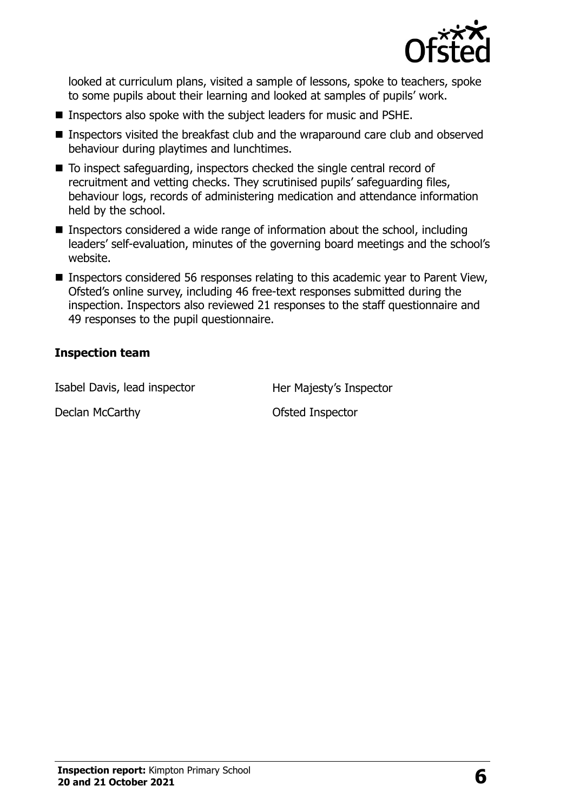

looked at curriculum plans, visited a sample of lessons, spoke to teachers, spoke to some pupils about their learning and looked at samples of pupils' work.

- **Inspectors also spoke with the subject leaders for music and PSHE.**
- **Inspectors visited the breakfast club and the wraparound care club and observed** behaviour during playtimes and lunchtimes.
- To inspect safeguarding, inspectors checked the single central record of recruitment and vetting checks. They scrutinised pupils' safeguarding files, behaviour logs, records of administering medication and attendance information held by the school.
- Inspectors considered a wide range of information about the school, including leaders' self-evaluation, minutes of the governing board meetings and the school's website.
- Inspectors considered 56 responses relating to this academic year to Parent View, Ofsted's online survey, including 46 free-text responses submitted during the inspection. Inspectors also reviewed 21 responses to the staff questionnaire and 49 responses to the pupil questionnaire.

#### **Inspection team**

Isabel Davis, lead inspector **Her Majesty's Inspector** 

Declan McCarthy **Declan McCarthy Ofsted Inspector**